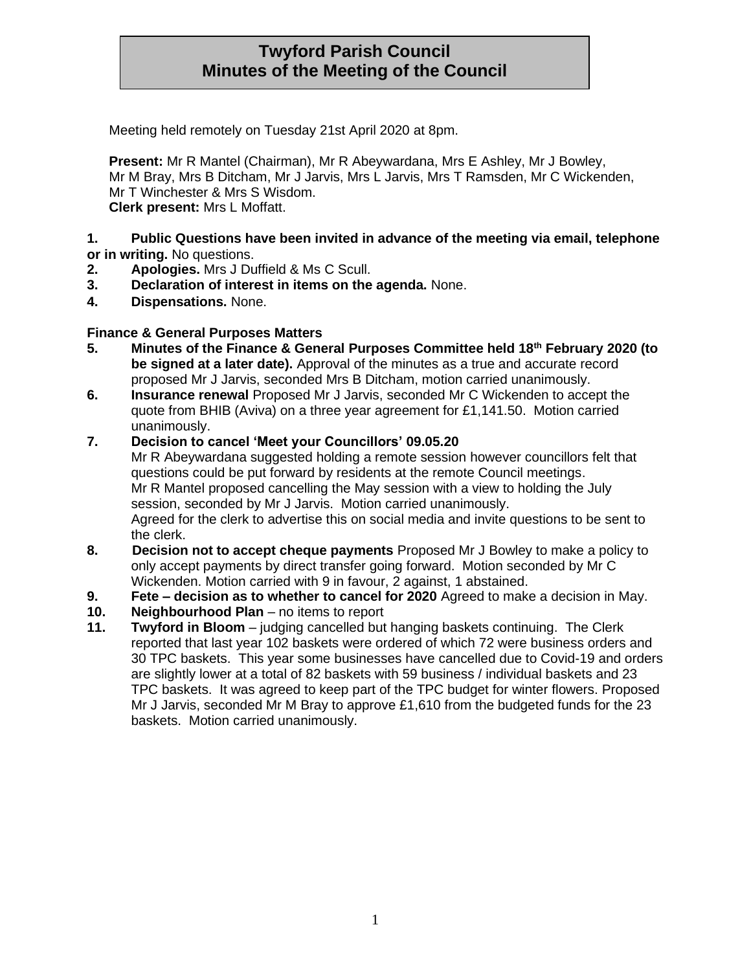# **Twyford Parish Council Minutes of the Meeting of the Council**

Meeting held remotely on Tuesday 21st April 2020 at 8pm.

**Present:** Mr R Mantel (Chairman), Mr R Abeywardana, Mrs E Ashley, Mr J Bowley, Mr M Bray, Mrs B Ditcham, Mr J Jarvis, Mrs L Jarvis, Mrs T Ramsden, Mr C Wickenden, Mr T Winchester & Mrs S Wisdom. **Clerk present:** Mrs L Moffatt.

#### **1. Public Questions have been invited in advance of the meeting via email, telephone or in writing.** No questions.

- **2. Apologies.** Mrs J Duffield & Ms C Scull.
- **3. Declaration of interest in items on the agenda.** None.
- **4. Dispensations.** None.

## **Finance & General Purposes Matters**

- **5. Minutes of the Finance & General Purposes Committee held 18th February 2020 (to be signed at a later date).** Approval of the minutes as a true and accurate record proposed Mr J Jarvis, seconded Mrs B Ditcham, motion carried unanimously.
- **6. Insurance renewal** Proposed Mr J Jarvis, seconded Mr C Wickenden to accept the quote from BHIB (Aviva) on a three year agreement for £1,141.50. Motion carried unanimously.
- **7. Decision to cancel 'Meet your Councillors' 09.05.20**

Mr R Abeywardana suggested holding a remote session however councillors felt that questions could be put forward by residents at the remote Council meetings. Mr R Mantel proposed cancelling the May session with a view to holding the July session, seconded by Mr J Jarvis. Motion carried unanimously. Agreed for the clerk to advertise this on social media and invite questions to be sent to the clerk.

- **8. Decision not to accept cheque payments** Proposed Mr J Bowley to make a policy to only accept payments by direct transfer going forward. Motion seconded by Mr C Wickenden. Motion carried with 9 in favour, 2 against, 1 abstained.
- **9. Fete – decision as to whether to cancel for 2020** Agreed to make a decision in May.
- **10. Neighbourhood Plan** no items to report
- **11. Twyford in Bloom**  judging cancelled but hanging baskets continuing. The Clerk reported that last year 102 baskets were ordered of which 72 were business orders and 30 TPC baskets. This year some businesses have cancelled due to Covid-19 and orders are slightly lower at a total of 82 baskets with 59 business / individual baskets and 23 TPC baskets. It was agreed to keep part of the TPC budget for winter flowers. Proposed Mr J Jarvis, seconded Mr M Bray to approve £1,610 from the budgeted funds for the 23 baskets. Motion carried unanimously.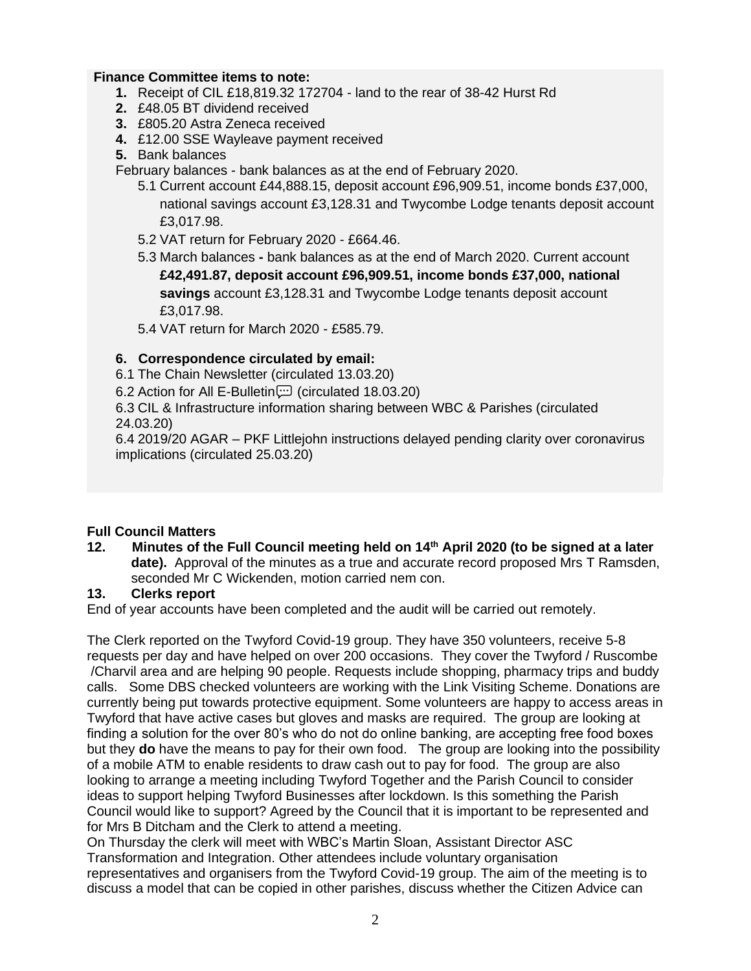#### **Finance Committee items to note:**

- **1.** Receipt of CIL £18,819.32 172704 land to the rear of 38-42 Hurst Rd
- **2.** £48.05 BT dividend received
- **3.** £805.20 Astra Zeneca received
- **4.** £12.00 SSE Wayleave payment received
- **5.** Bank balances

February balances - bank balances as at the end of February 2020.

- 5.1 Current account £44,888.15, deposit account £96,909.51, income bonds £37,000, national savings account £3,128.31 and Twycombe Lodge tenants deposit account £3,017.98.
- 5.2 VAT return for February 2020 £664.46.
- 5.3 March balances **-** bank balances as at the end of March 2020. Current account **£42,491.87, deposit account £96,909.51, income bonds £37,000, national savings** account £3,128.31 and Twycombe Lodge tenants deposit account £3,017.98.

5.4 VAT return for March 2020 - £585.79.

#### **6. Correspondence circulated by email:**

6.1 The Chain Newsletter (circulated 13.03.20)

6.2 Action for All E-Bulletin (circulated 18.03.20)

6.3 CIL & Infrastructure information sharing between WBC & Parishes (circulated 24.03.20)

6.4 2019/20 AGAR – PKF Littlejohn instructions delayed pending clarity over coronavirus implications (circulated 25.03.20)

## **Full Council Matters**

**12. Minutes of the Full Council meeting held on 14th April 2020 (to be signed at a later date).** Approval of the minutes as a true and accurate record proposed Mrs T Ramsden, seconded Mr C Wickenden, motion carried nem con.

#### **13. Clerks report**

End of year accounts have been completed and the audit will be carried out remotely.

The Clerk reported on the Twyford Covid-19 group. They have 350 volunteers, receive 5-8 requests per day and have helped on over 200 occasions. They cover the Twyford / Ruscombe /Charvil area and are helping 90 people. Requests include shopping, pharmacy trips and buddy calls. Some DBS checked volunteers are working with the Link Visiting Scheme. Donations are currently being put towards protective equipment. Some volunteers are happy to access areas in Twyford that have active cases but gloves and masks are required. The group are looking at finding a solution for the over 80's who do not do online banking, are accepting free food boxes but they **do** have the means to pay for their own food. The group are looking into the possibility of a mobile ATM to enable residents to draw cash out to pay for food. The group are also looking to arrange a meeting including Twyford Together and the Parish Council to consider ideas to support helping Twyford Businesses after lockdown. Is this something the Parish Council would like to support? Agreed by the Council that it is important to be represented and for Mrs B Ditcham and the Clerk to attend a meeting.

On Thursday the clerk will meet with WBC's Martin Sloan, Assistant Director ASC Transformation and Integration. Other attendees include voluntary organisation representatives and organisers from the Twyford Covid-19 group. The aim of the meeting is to discuss a model that can be copied in other parishes, discuss whether the Citizen Advice can